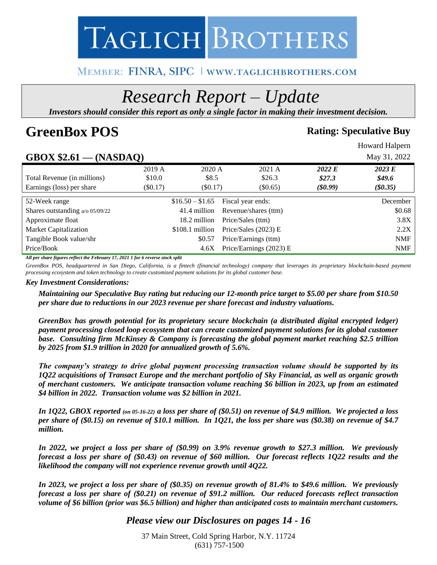

# MEMBER: FINRA, SIPC | WWW.TAGLICHBROTHERS.COM

# *Research Report – Update*

*Investors should consider this report as only a single factor in making their investment decision.*

# **GreenBox POS Rating: Speculative Buy**

Howard Halpern

# **GBOX \$2.61 — (NASDAQ)** May 31, 2022

|                                    | $\mathbf{v}$ |                  |                         |            |            |
|------------------------------------|--------------|------------------|-------------------------|------------|------------|
|                                    | 2019 A       | 2020 A           | 2021 A                  | 2022 E     | 2023 E     |
| Total Revenue (in millions)        | \$10.0       | \$8.5            | \$26.3                  | \$27.3\$   | \$49.6     |
| Earnings (loss) per share          | $(\$0.17)$   | $(\$0.17)$       | $(\$0.65)$              | $(\$0.99)$ | $(\$0.35)$ |
|                                    |              |                  |                         |            |            |
| 52-Week range                      |              | $$16.50 - $1.65$ | Fiscal year ends:       |            | December   |
| Shares outstanding $a$ /o 05/09/22 |              | 41.4 million     | Revenue/shares (ttm)    |            | \$0.68     |
| Approximate float                  |              | 18.2 million     | Price/Sales (ttm)       |            | 3.8X       |
| Market Capitalization              |              | $$108.1$ million | Price/Sales $(2023)$ E  |            | 2.2X       |
| Tangible Book value/shr            |              | \$0.57           | Price/Earnings (ttm)    |            | <b>NMF</b> |
| Price/Book                         |              | 4.6X             | Price/Earnings (2023) E |            | <b>NMF</b> |

*All per share figures reflect the February 17, 2021 1 for 6 reverse stock split*

*GreenBox POS, headquartered in San Diego, California, is a fintech (financial technology) company that leverages its proprietary blockchain-based payment processing ecosystem and token technology to create customized payment solutions for its global customer base.*

#### *Key Investment Considerations:*

*Maintaining our Speculative Buy rating but reducing our 12-month price target to \$5.00 per share from \$10.50 per share due to reductions in our 2023 revenue per share forecast and industry valuations.*

*GreenBox has growth potential for its proprietary secure blockchain (a distributed digital encrypted ledger) payment processing closed loop ecosystem that can create customized payment solutions for its global customer base. Consulting firm McKinsey & Company is forecasting the global payment market reaching \$2.5 trillion by 2025 from \$1.9 trillion in 2020 for annualized growth of 5.6%.*

*The company's strategy to drive global payment processing transaction volume should be supported by its 1Q22 acquisitions of Transact Europe and the merchant portfolio of Sky Financial, as well as organic growth of merchant customers. We anticipate transaction volume reaching \$6 billion in 2023, up from an estimated \$4 billion in 2022. Transaction volume was \$2 billion in 2021.*

*In 1Q22, GBOX reported (on 05-16-22) a loss per share of (\$0.51) on revenue of \$4.9 million. We projected a loss per share of (\$0.15) on revenue of \$10.1 million. In 1Q21, the loss per share was (\$0.38) on revenue of \$4.7 million.* 

*In 2022, we project a loss per share of (\$0.99) on 3.9% revenue growth to \$27.3 million. We previously forecast a loss per share of (\$0.43) on revenue of \$60 million. Our forecast reflects 1Q22 results and the likelihood the company will not experience revenue growth until 4Q22.* 

*In 2023, we project a loss per share of (\$0.35) on revenue growth of 81.4% to \$49.6 million. We previously forecast a loss per share of (\$0.21) on revenue of \$91.2 million. Our reduced forecasts reflect transaction volume of \$6 billion (prior was \$6.5 billion) and higher than anticipated costs to maintain merchant customers.*

# *Please view our Disclosures on pages 14 - 16*

37 Main Street, Cold Spring Harbor, N.Y. 11724 (631) 757-1500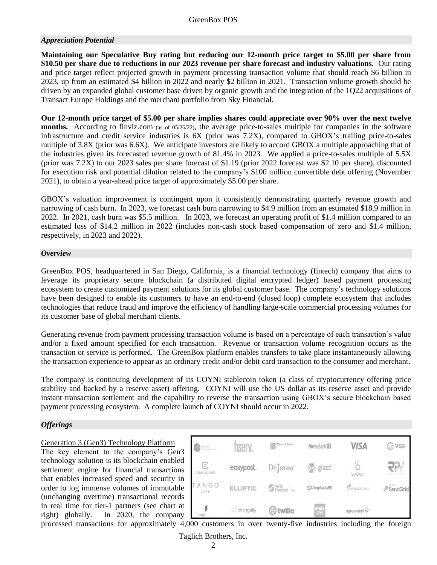#### *Appreciation Potential*

**Maintaining our Speculative Buy rating but reducing our 12-month price target to \$5.00 per share from \$10.50 per share due to reductions in our 2023 revenue per share forecast and industry valuations.** Our rating and price target reflect projected growth in payment processing transaction volume that should reach \$6 billion in 2023, up from an estimated \$4 billion in 2022 and nearly \$2 billion in 2021. Transaction volume growth should be driven by an expanded global customer base driven by organic growth and the integration of the 1Q22 acquisitions of Transact Europe Holdings and the merchant portfolio from Sky Financial.

**Our 12-month price target of \$5.00 per share implies shares could appreciate over 90% over the next twelve months.** According to finviz.com (as of 05/26/22), the average price-to-sales multiple for companies in the software infrastructure and credit service industries is 6X (prior was 7.2X), compared to GBOX's trailing price-to-sales multiple of 3.8X (prior was 6.6X). We anticipate investors are likely to accord GBOX a multiple approaching that of the industries given its forecasted revenue growth of 81.4% in 2023. We applied a price-to-sales multiple of 5.5X (prior was 7.2X) to our 2023 sales per share forecast of \$1.19 (prior 2022 forecast was \$2.10 per share), discounted for execution risk and potential dilution related to the company's \$100 million convertible debt offering (November 2021), to obtain a year-ahead price target of approximately \$5.00 per share.

GBOX's valuation improvement is contingent upon it consistently demonstrating quarterly revenue growth and narrowing of cash burn. In 2023, we forecast cash burn narrowing to \$4.9 million from an estimated \$18.9 million in 2022. In 2021, cash burn was \$5.5 million. In 2023, we forecast an operating profit of \$1.4 million compared to an estimated loss of \$14.2 million in 2022 (includes non-cash stock based compensation of zero and \$1.4 million, respectively, in 2023 and 2022).

#### *Overview*

GreenBox POS, headquartered in San Diego, California, is a financial technology (fintech) company that aims to leverage its proprietary secure blockchain (a distributed digital encrypted ledger) based payment processing ecosystem to create customized payment solutions for its global customer base. The company's technology solutions have been designed to enable its customers to have an end-to-end (closed loop) complete ecosystem that includes technologies that reduce fraud and improve the efficiency of handling large-scale commercial processing volumes for its customer base of global merchant clients.

Generating revenue from payment processing transaction volume is based on a percentage of each transaction's value and/or a fixed amount specified for each transaction. Revenue or transaction volume recognition occurs as the transaction or service is performed. The GreenBox platform enables transfers to take place instantaneously allowing the transaction experience to appear as an ordinary credit and/or debit card transaction to the consumer and merchant.

The company is continuing development of its COYNI stablecoin token (a class of cryptocurrency offering price stability and backed by a reserve asset) offering. COYNI will use the US dollar as its reserve asset and provide instant transaction settlement and the capability to reverse the transaction using GBOX's secure blockchain based payment processing ecosystem. A complete launch of COYNI should occur in 2022.

#### *Offerings*

#### Generation 3 (Gen3) Technology Platform

The key element to the company's Gen3 technology solution is its blockchain enabled settlement engine for financial transactions that enables increased speed and security in order to log immense volumes of immutable (unchanging overtime) transactional records in real time for tier-1 partners (see chart at right) globally. In 2020, the company

| $SIGNET^{m}$<br>A Brand of Hignistani Bank | <b>IServ</b>                    | Merrick Bank            | MetaBank <sup>®</sup> . | <b>VISA</b>            | ි vgs                           |
|--------------------------------------------|---------------------------------|-------------------------|-------------------------|------------------------|---------------------------------|
| E,<br>Checkbook                            | easypost.                       | $D\tilde{e}$ javoo"     | $\rightarrow$ giact     | Looker                 | $\mathbb{R}^{n}$<br>INNOVATIONS |
| NGO<br>CARD'                               | <b>ELLIPTIC</b>                 | Verisk<br>Financial G2  | Chargebacks911          | <i><b>PFILIDAY</b></i> | SendGrid                        |
| Charge                                     | <b><i><u></u></i></b> changelly | $\mathbf{\odot}$ twilio | <b>IRIS</b><br>CRM      | agreement <sup>7</sup> |                                 |

Taglich Brothers, Inc. processed transactions for approximately 4,000 customers in over twenty-five industries including the foreign

2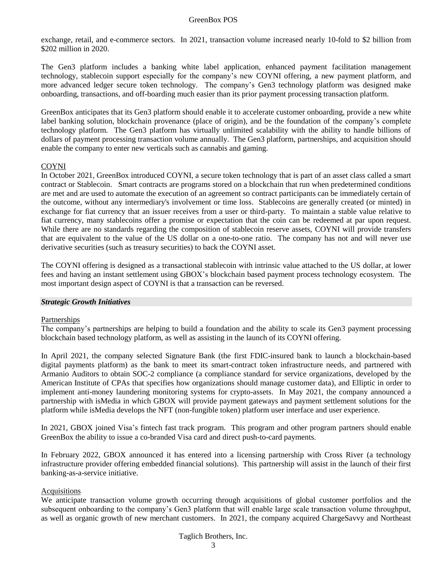exchange, retail, and e-commerce sectors. In 2021, transaction volume increased nearly 10-fold to \$2 billion from \$202 million in 2020.

The Gen3 platform includes a banking white label application, enhanced payment facilitation management technology, stablecoin support especially for the company's new COYNI offering, a new payment platform, and more advanced ledger secure token technology. The company's Gen3 technology platform was designed make onboarding, transactions, and off-boarding much easier than its prior payment processing transaction platform.

GreenBox anticipates that its Gen3 platform should enable it to accelerate customer onboarding, provide a new white label banking solution, blockchain provenance (place of origin), and be the foundation of the company's complete technology platform. The Gen3 platform has virtually unlimited scalability with the ability to handle billions of dollars of payment processing transaction volume annually. The Gen3 platform, partnerships, and acquisition should enable the company to enter new verticals such as cannabis and gaming.

#### COYNI

In October 2021, GreenBox introduced COYNI, a secure token technology that is part of an asset class called a smart contract or Stablecoin. Smart contracts are programs stored on a blockchain that run when predetermined conditions are met and are used to automate the execution of an agreement so contract participants can be immediately certain of the outcome, without any intermediary's involvement or time loss. Stablecoins are generally created (or minted) in exchange for fiat currency that an issuer receives from a user or third-party. To maintain a stable value relative to fiat currency, many stablecoins offer a promise or expectation that the coin can be redeemed at par upon request. While there are no standards regarding the composition of stablecoin reserve assets, COYNI will provide transfers that are equivalent to the value of the US dollar on a one-to-one ratio. The company has not and will never use derivative securities (such as treasury securities) to back the COYNI asset.

The COYNI offering is designed as a transactional stablecoin with intrinsic value attached to the US dollar, at lower fees and having an instant settlement using GBOX's blockchain based payment process technology ecosystem. The most important design aspect of COYNI is that a transaction can be reversed.

#### *Strategic Growth Initiatives*

#### Partnerships

The company's partnerships are helping to build a foundation and the ability to scale its Gen3 payment processing blockchain based technology platform, as well as assisting in the launch of its COYNI offering.

In April 2021, the company selected Signature Bank (the first FDIC-insured bank to launch a blockchain-based digital payments platform) as the bank to meet its smart-contract token infrastructure needs, and partnered with Armanio Auditors to obtain SOC-2 compliance (a compliance standard for service organizations, developed by the American Institute of CPAs that specifies how organizations should manage customer data), and Elliptic in order to implement anti-money laundering monitoring systems for crypto-assets. In May 2021, the company announced a partnership with isMedia in which GBOX will provide payment gateways and payment settlement solutions for the platform while isMedia develops the NFT (non-fungible token) platform user interface and user experience.

In 2021, GBOX joined Visa's fintech fast track program. This program and other program partners should enable GreenBox the ability to issue a co-branded Visa card and direct push-to-card payments.

In February 2022, GBOX announced it has entered into a licensing partnership with Cross River (a technology infrastructure provider offering embedded financial solutions). This partnership will assist in the launch of their first banking-as-a-service initiative.

#### Acquisitions

We anticipate transaction volume growth occurring through acquisitions of global customer portfolios and the subsequent onboarding to the company's Gen3 platform that will enable large scale transaction volume throughput, as well as organic growth of new merchant customers. In 2021, the company acquired ChargeSavvy and Northeast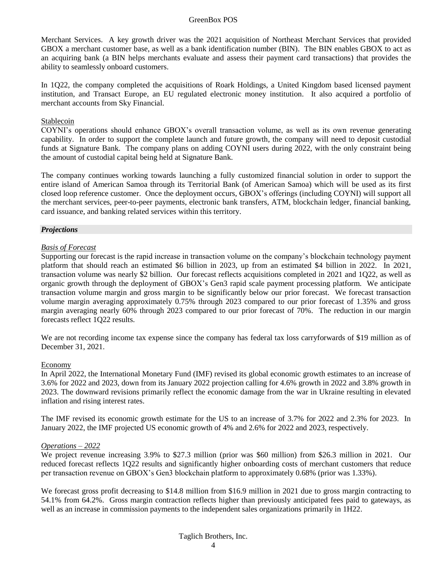Merchant Services. A key growth driver was the 2021 acquisition of Northeast Merchant Services that provided GBOX a merchant customer base, as well as a bank identification number (BIN). The BIN enables GBOX to act as an acquiring bank (a BIN helps merchants evaluate and assess their payment card transactions) that provides the ability to seamlessly onboard customers.

In 1Q22, the company completed the acquisitions of Roark Holdings, a United Kingdom based licensed payment institution, and Transact Europe, an EU regulated electronic money institution. It also acquired a portfolio of merchant accounts from Sky Financial.

#### Stablecoin

COYNI's operations should enhance GBOX's overall transaction volume, as well as its own revenue generating capability. In order to support the complete launch and future growth, the company will need to deposit custodial funds at Signature Bank. The company plans on adding COYNI users during 2022, with the only constraint being the amount of custodial capital being held at Signature Bank.

The company continues working towards launching a fully customized financial solution in order to support the entire island of American Samoa through its Territorial Bank (of American Samoa) which will be used as its first closed loop reference customer. Once the deployment occurs, GBOX's offerings (including COYNI) will support all the merchant services, peer-to-peer payments, electronic bank transfers, ATM, blockchain ledger, financial banking, card issuance, and banking related services within this territory.

#### *Projections*

#### *Basis of Forecast*

Supporting our forecast is the rapid increase in transaction volume on the company's blockchain technology payment platform that should reach an estimated \$6 billion in 2023, up from an estimated \$4 billion in 2022. In 2021, transaction volume was nearly \$2 billion. Our forecast reflects acquisitions completed in 2021 and 1Q22, as well as organic growth through the deployment of GBOX's Gen3 rapid scale payment processing platform. We anticipate transaction volume margin and gross margin to be significantly below our prior forecast. We forecast transaction volume margin averaging approximately 0.75% through 2023 compared to our prior forecast of 1.35% and gross margin averaging nearly 60% through 2023 compared to our prior forecast of 70%. The reduction in our margin forecasts reflect 1Q22 results.

We are not recording income tax expense since the company has federal tax loss carryforwards of \$19 million as of December 31, 2021.

#### Economy

In April 2022, the International Monetary Fund (IMF) revised its global economic growth estimates to an increase of 3.6% for 2022 and 2023, down from its January 2022 projection calling for 4.6% growth in 2022 and 3.8% growth in 2023. The downward revisions primarily reflect the economic damage from the war in Ukraine resulting in elevated inflation and rising interest rates.

The IMF revised its economic growth estimate for the US to an increase of 3.7% for 2022 and 2.3% for 2023. In January 2022, the IMF projected US economic growth of 4% and 2.6% for 2022 and 2023, respectively.

#### *Operations – 2022*

We project revenue increasing 3.9% to \$27.3 million (prior was \$60 million) from \$26.3 million in 2021. Our reduced forecast reflects 1Q22 results and significantly higher onboarding costs of merchant customers that reduce per transaction revenue on GBOX's Gen3 blockchain platform to approximately 0.68% (prior was 1.33%).

We forecast gross profit decreasing to \$14.8 million from \$16.9 million in 2021 due to gross margin contracting to 54.1% from 64.2%. Gross margin contraction reflects higher than previously anticipated fees paid to gateways, as well as an increase in commission payments to the independent sales organizations primarily in 1H22.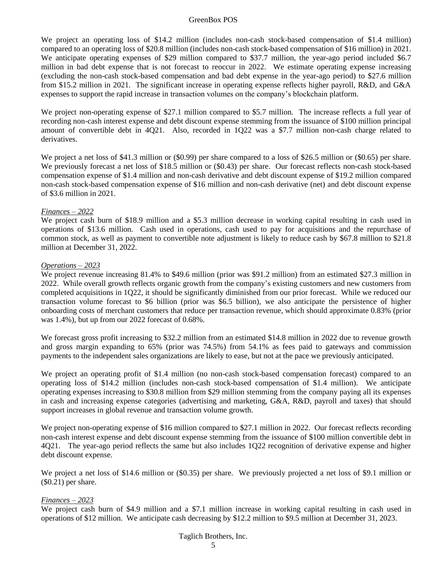We project an operating loss of \$14.2 million (includes non-cash stock-based compensation of \$1.4 million) compared to an operating loss of \$20.8 million (includes non-cash stock-based compensation of \$16 million) in 2021. We anticipate operating expenses of \$29 million compared to \$37.7 million, the year-ago period included \$6.7 million in bad debt expense that is not forecast to reoccur in 2022. We estimate operating expense increasing (excluding the non-cash stock-based compensation and bad debt expense in the year-ago period) to \$27.6 million from \$15.2 million in 2021. The significant increase in operating expense reflects higher payroll, R&D, and G&A expenses to support the rapid increase in transaction volumes on the company's blockchain platform.

We project non-operating expense of \$27.1 million compared to \$5.7 million. The increase reflects a full year of recording non-cash interest expense and debt discount expense stemming from the issuance of \$100 million principal amount of convertible debt in 4Q21. Also, recorded in 1Q22 was a \$7.7 million non-cash charge related to derivatives.

We project a net loss of \$41.3 million or (\$0.99) per share compared to a loss of \$26.5 million or (\$0.65) per share. We previously forecast a net loss of \$18.5 million or (\$0.43) per share. Our forecast reflects non-cash stock-based compensation expense of \$1.4 million and non-cash derivative and debt discount expense of \$19.2 million compared non-cash stock-based compensation expense of \$16 million and non-cash derivative (net) and debt discount expense of \$3.6 million in 2021.

#### *Finances – 2022*

We project cash burn of \$18.9 million and a \$5.3 million decrease in working capital resulting in cash used in operations of \$13.6 million. Cash used in operations, cash used to pay for acquisitions and the repurchase of common stock, as well as payment to convertible note adjustment is likely to reduce cash by \$67.8 million to \$21.8 million at December 31, 2022.

#### *Operations – 2023*

We project revenue increasing 81.4% to \$49.6 million (prior was \$91.2 million) from an estimated \$27.3 million in 2022. While overall growth reflects organic growth from the company's existing customers and new customers from completed acquisitions in 1Q22, it should be significantly diminished from our prior forecast. While we reduced our transaction volume forecast to \$6 billion (prior was \$6.5 billion), we also anticipate the persistence of higher onboarding costs of merchant customers that reduce per transaction revenue, which should approximate 0.83% (prior was 1.4%), but up from our 2022 forecast of 0.68%.

We forecast gross profit increasing to \$32.2 million from an estimated \$14.8 million in 2022 due to revenue growth and gross margin expanding to 65% (prior was 74.5%) from 54.1% as fees paid to gateways and commission payments to the independent sales organizations are likely to ease, but not at the pace we previously anticipated.

We project an operating profit of \$1.4 million (no non-cash stock-based compensation forecast) compared to an operating loss of \$14.2 million (includes non-cash stock-based compensation of \$1.4 million). We anticipate operating expenses increasing to \$30.8 million from \$29 million stemming from the company paying all its expenses in cash and increasing expense categories (advertising and marketing, G&A, R&D, payroll and taxes) that should support increases in global revenue and transaction volume growth.

We project non-operating expense of \$16 million compared to \$27.1 million in 2022. Our forecast reflects recording non-cash interest expense and debt discount expense stemming from the issuance of \$100 million convertible debt in 4Q21. The year-ago period reflects the same but also includes 1Q22 recognition of derivative expense and higher debt discount expense.

We project a net loss of \$14.6 million or (\$0.35) per share. We previously projected a net loss of \$9.1 million or (\$0.21) per share.

#### *Finances – 2023*

We project cash burn of \$4.9 million and a \$7.1 million increase in working capital resulting in cash used in operations of \$12 million. We anticipate cash decreasing by \$12.2 million to \$9.5 million at December 31, 2023.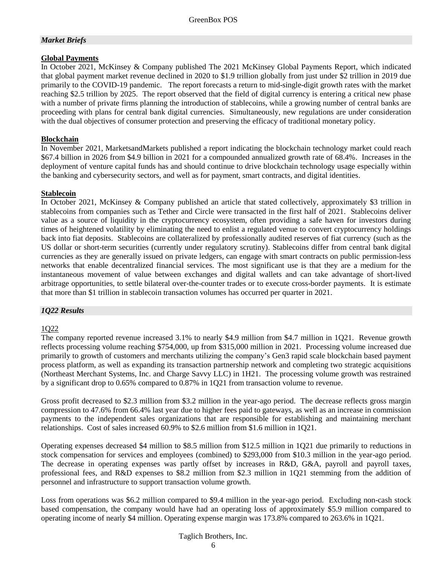#### *Market Briefs*

#### **Global Payments**

In October 2021, McKinsey & Company published The 2021 McKinsey Global Payments Report, which indicated that global payment market revenue declined in 2020 to \$1.9 trillion globally from just under \$2 trillion in 2019 due primarily to the COVID-19 pandemic. The report forecasts a return to mid-single-digit growth rates with the market reaching \$2.5 trillion by 2025. The report observed that the field of digital currency is entering a critical new phase with a number of private firms planning the introduction of stablecoins, while a growing number of central banks are proceeding with plans for central bank digital currencies. Simultaneously, new regulations are under consideration with the dual objectives of consumer protection and preserving the efficacy of traditional monetary policy.

#### **Blockchain**

In November 2021, MarketsandMarkets published a report indicating the blockchain technology market could reach \$67.4 billion in 2026 from \$4.9 billion in 2021 for a compounded annualized growth rate of 68.4%. Increases in the deployment of venture capital funds has and should continue to drive blockchain technology usage especially within the banking and cybersecurity sectors, and well as for payment, smart contracts, and digital identities.

#### **Stablecoin**

In October 2021, McKinsey & Company published an article that stated collectively, approximately \$3 trillion in stablecoins from companies such as Tether and Circle were transacted in the first half of 2021. Stablecoins deliver value as a source of liquidity in the cryptocurrency ecosystem, often providing a safe haven for investors during times of heightened volatility by eliminating the need to enlist a regulated venue to convert cryptocurrency holdings back into fiat deposits. Stablecoins are collateralized by professionally audited reserves of fiat currency (such as the US dollar or short-term securities (currently under regulatory scrutiny). Stablecoins differ from central bank digital currencies as they are generally issued on private ledgers, can engage with smart contracts on public permission-less networks that enable decentralized financial services. The most significant use is that they are a medium for the instantaneous movement of value between exchanges and digital wallets and can take advantage of short-lived arbitrage opportunities, to settle bilateral over-the-counter trades or to execute cross-border payments. It is estimate that more than \$1 trillion in stablecoin transaction volumes has occurred per quarter in 2021.

#### *1Q22 Results*

#### 1Q22

The company reported revenue increased 3.1% to nearly \$4.9 million from \$4.7 million in 1Q21. Revenue growth reflects processing volume reaching \$754,000, up from \$315,000 million in 2021. Processing volume increased due primarily to growth of customers and merchants utilizing the company's Gen3 rapid scale blockchain based payment process platform, as well as expanding its transaction partnership network and completing two strategic acquisitions (Northeast Merchant Systems, Inc. and Charge Savvy LLC) in 1H21. The processing volume growth was restrained by a significant drop to 0.65% compared to 0.87% in 1Q21 from transaction volume to revenue.

Gross profit decreased to \$2.3 million from \$3.2 million in the year-ago period. The decrease reflects gross margin compression to 47.6% from 66.4% last year due to higher fees paid to gateways, as well as an increase in commission payments to the independent sales organizations that are responsible for establishing and maintaining merchant relationships. Cost of sales increased 60.9% to \$2.6 million from \$1.6 million in 1Q21.

Operating expenses decreased \$4 million to \$8.5 million from \$12.5 million in 1Q21 due primarily to reductions in stock compensation for services and employees (combined) to \$293,000 from \$10.3 million in the year-ago period. The decrease in operating expenses was partly offset by increases in R&D, G&A, payroll and payroll taxes, professional fees, and R&D expenses to \$8.2 million from \$2.3 million in 1Q21 stemming from the addition of personnel and infrastructure to support transaction volume growth.

Loss from operations was \$6.2 million compared to \$9.4 million in the year-ago period. Excluding non-cash stock based compensation, the company would have had an operating loss of approximately \$5.9 million compared to operating income of nearly \$4 million. Operating expense margin was 173.8% compared to 263.6% in 1Q21.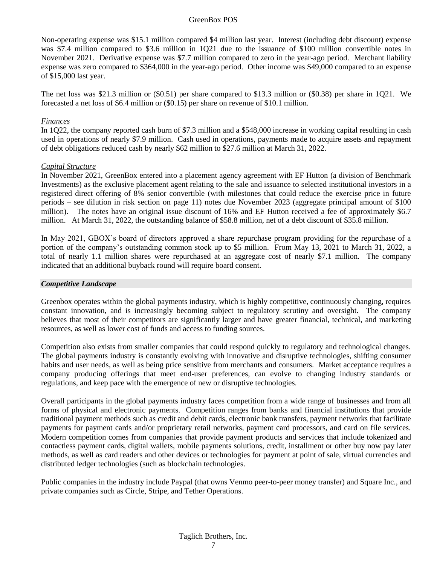Non-operating expense was \$15.1 million compared \$4 million last year. Interest (including debt discount) expense was \$7.4 million compared to \$3.6 million in 1Q21 due to the issuance of \$100 million convertible notes in November 2021. Derivative expense was \$7.7 million compared to zero in the year-ago period. Merchant liability expense was zero compared to \$364,000 in the year-ago period. Other income was \$49,000 compared to an expense of \$15,000 last year.

The net loss was \$21.3 million or (\$0.51) per share compared to \$13.3 million or (\$0.38) per share in 1Q21. We forecasted a net loss of \$6.4 million or (\$0.15) per share on revenue of \$10.1 million.

#### *Finances*

In 1Q22, the company reported cash burn of \$7.3 million and a \$548,000 increase in working capital resulting in cash used in operations of nearly \$7.9 million. Cash used in operations, payments made to acquire assets and repayment of debt obligations reduced cash by nearly \$62 million to \$27.6 million at March 31, 2022.

#### *Capital Structure*

In November 2021, GreenBox entered into a placement agency agreement with EF Hutton (a division of Benchmark Investments) as the exclusive placement agent relating to the sale and issuance to selected institutional investors in a registered direct offering of 8% senior convertible (with milestones that could reduce the exercise price in future periods – see dilution in risk section on page 11) notes due November 2023 (aggregate principal amount of \$100 million). The notes have an original issue discount of 16% and EF Hutton received a fee of approximately \$6.7 million. At March 31, 2022, the outstanding balance of \$58.8 million, net of a debt discount of \$35.8 million.

In May 2021, GBOX's board of directors approved a share repurchase program providing for the repurchase of a portion of the company's outstanding common stock up to \$5 million. From May 13, 2021 to March 31, 2022, a total of nearly 1.1 million shares were repurchased at an aggregate cost of nearly \$7.1 million. The company indicated that an additional buyback round will require board consent.

#### *Competitive Landscape*

Greenbox operates within the global payments industry, which is highly competitive, continuously changing, requires constant innovation, and is increasingly becoming subject to regulatory scrutiny and oversight. The company believes that most of their competitors are significantly larger and have greater financial, technical, and marketing resources, as well as lower cost of funds and access to funding sources.

Competition also exists from smaller companies that could respond quickly to regulatory and technological changes. The global payments industry is constantly evolving with innovative and disruptive technologies, shifting consumer habits and user needs, as well as being price sensitive from merchants and consumers. Market acceptance requires a company producing offerings that meet end-user preferences, can evolve to changing industry standards or regulations, and keep pace with the emergence of new or disruptive technologies.

Overall participants in the global payments industry faces competition from a wide range of businesses and from all forms of physical and electronic payments. Competition ranges from banks and financial institutions that provide traditional payment methods such as credit and debit cards, electronic bank transfers, payment networks that facilitate payments for payment cards and/or proprietary retail networks, payment card processors, and card on file services. Modern competition comes from companies that provide payment products and services that include tokenized and contactless payment cards, digital wallets, mobile payments solutions, credit, installment or other buy now pay later methods, as well as card readers and other devices or technologies for payment at point of sale, virtual currencies and distributed ledger technologies (such as blockchain technologies.

Public companies in the industry include Paypal (that owns Venmo peer-to-peer money transfer) and Square Inc., and private companies such as Circle, Stripe, and Tether Operations.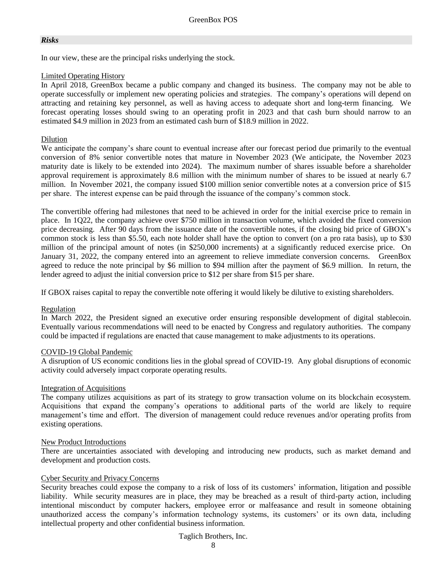#### *Risks*

In our view, these are the principal risks underlying the stock.

#### Limited Operating History

In April 2018, GreenBox became a public company and changed its business. The company may not be able to operate successfully or implement new operating policies and strategies. The company's operations will depend on attracting and retaining key personnel, as well as having access to adequate short and long-term financing. We forecast operating losses should swing to an operating profit in 2023 and that cash burn should narrow to an estimated \$4.9 million in 2023 from an estimated cash burn of \$18.9 million in 2022.

#### Dilution

We anticipate the company's share count to eventual increase after our forecast period due primarily to the eventual conversion of 8% senior convertible notes that mature in November 2023 (We anticipate, the November 2023 maturity date is likely to be extended into 2024). The maximum number of shares issuable before a shareholder approval requirement is approximately 8.6 million with the minimum number of shares to be issued at nearly 6.7 million. In November 2021, the company issued \$100 million senior convertible notes at a conversion price of \$15 per share. The interest expense can be paid through the issuance of the company's common stock.

The convertible offering had milestones that need to be achieved in order for the initial exercise price to remain in place. In 1Q22, the company achieve over \$750 million in transaction volume, which avoided the fixed conversion price decreasing. After 90 days from the issuance date of the convertible notes, if the closing bid price of GBOX's common stock is less than \$5.50, each note holder shall have the option to convert (on a pro rata basis), up to \$30 million of the principal amount of notes (in \$250,000 increments) at a significantly reduced exercise price. On January 31, 2022, the company entered into an agreement to relieve immediate conversion concerns. GreenBox agreed to reduce the note principal by \$6 million to \$94 million after the payment of \$6.9 million. In return, the lender agreed to adjust the initial conversion price to \$12 per share from \$15 per share.

If GBOX raises capital to repay the convertible note offering it would likely be dilutive to existing shareholders.

#### Regulation

In March 2022, the President signed an executive order ensuring responsible development of digital stablecoin. Eventually various recommendations will need to be enacted by Congress and regulatory authorities. The company could be impacted if regulations are enacted that cause management to make adjustments to its operations.

#### COVID-19 Global Pandemic

A disruption of US economic conditions lies in the global spread of COVID-19. Any global disruptions of economic activity could adversely impact corporate operating results.

#### Integration of Acquisitions

The company utilizes acquisitions as part of its strategy to grow transaction volume on its blockchain ecosystem. Acquisitions that expand the company's operations to additional parts of the world are likely to require management's time and effort. The diversion of management could reduce revenues and/or operating profits from existing operations.

#### New Product Introductions

There are uncertainties associated with developing and introducing new products, such as market demand and development and production costs.

#### Cyber Security and Privacy Concerns

Security breaches could expose the company to a risk of loss of its customers' information, litigation and possible liability. While security measures are in place, they may be breached as a result of third-party action, including intentional misconduct by computer hackers, employee error or malfeasance and result in someone obtaining unauthorized access the company's information technology systems, its customers' or its own data, including intellectual property and other confidential business information.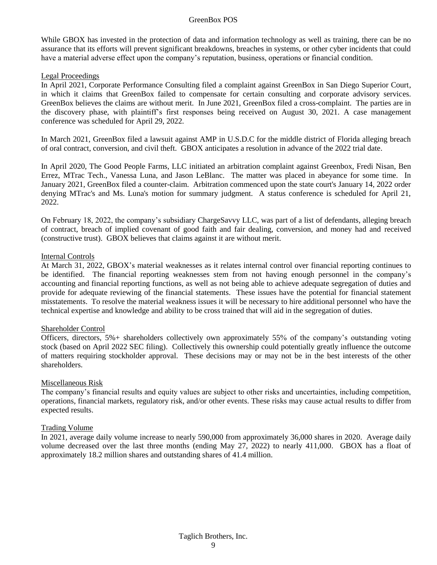While GBOX has invested in the protection of data and information technology as well as training, there can be no assurance that its efforts will prevent significant breakdowns, breaches in systems, or other cyber incidents that could have a material adverse effect upon the company's reputation, business, operations or financial condition.

#### Legal Proceedings

In April 2021, Corporate Performance Consulting filed a complaint against GreenBox in San Diego Superior Court, in which it claims that GreenBox failed to compensate for certain consulting and corporate advisory services. GreenBox believes the claims are without merit. In June 2021, GreenBox filed a cross-complaint. The parties are in the discovery phase, with plaintiff's first responses being received on August 30, 2021. A case management conference was scheduled for April 29, 2022.

In March 2021, GreenBox filed a lawsuit against AMP in U.S.D.C for the middle district of Florida alleging breach of oral contract, conversion, and civil theft. GBOX anticipates a resolution in advance of the 2022 trial date.

In April 2020, The Good People Farms, LLC initiated an arbitration complaint against Greenbox, Fredi Nisan, Ben Errez, MTrac Tech., Vanessa Luna, and Jason LeBlanc. The matter was placed in abeyance for some time. In January 2021, GreenBox filed a counter-claim. Arbitration commenced upon the state court's January 14, 2022 order denying MTrac's and Ms. Luna's motion for summary judgment. A status conference is scheduled for April 21, 2022.

On February 18, 2022, the company's subsidiary ChargeSavvy LLC, was part of a list of defendants, alleging breach of contract, breach of implied covenant of good faith and fair dealing, conversion, and money had and received (constructive trust). GBOX believes that claims against it are without merit.

#### Internal Controls

At March 31, 2022, GBOX's material weaknesses as it relates internal control over financial reporting continues to be identified. The financial reporting weaknesses stem from not having enough personnel in the company's accounting and financial reporting functions, as well as not being able to achieve adequate segregation of duties and provide for adequate reviewing of the financial statements. These issues have the potential for financial statement misstatements. To resolve the material weakness issues it will be necessary to hire additional personnel who have the technical expertise and knowledge and ability to be cross trained that will aid in the segregation of duties.

#### Shareholder Control

Officers, directors, 5%+ shareholders collectively own approximately 55% of the company's outstanding voting stock (based on April 2022 SEC filing). Collectively this ownership could potentially greatly influence the outcome of matters requiring stockholder approval. These decisions may or may not be in the best interests of the other shareholders.

#### Miscellaneous Risk

The company's financial results and equity values are subject to other risks and uncertainties, including competition, operations, financial markets, regulatory risk, and/or other events. These risks may cause actual results to differ from expected results.

#### Trading Volume

In 2021, average daily volume increase to nearly 590,000 from approximately 36,000 shares in 2020. Average daily volume decreased over the last three months (ending May 27, 2022) to nearly 411,000. GBOX has a float of approximately 18.2 million shares and outstanding shares of 41.4 million.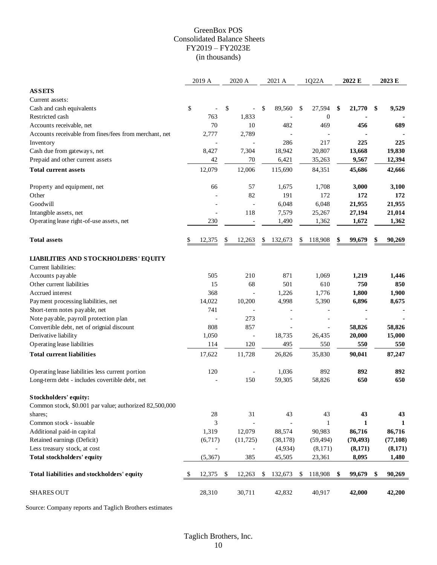#### GreenBox POS Consolidated Balance Sheets FY2019 – FY2023E (in thousands)

|                                                        | 2019 A         | 2020 A                   | 2021 A            | 1Q22A            | 2022 E       | 2023 E       |
|--------------------------------------------------------|----------------|--------------------------|-------------------|------------------|--------------|--------------|
| <b>ASSETS</b>                                          |                |                          |                   |                  |              |              |
| Current assets:                                        |                |                          |                   |                  |              |              |
| Cash and cash equivalents                              | \$             | \$                       | \$<br>89,560      | \$<br>27,594     | \$<br>21,770 | \$<br>9,529  |
| Restricted cash                                        | 763            | 1,833                    |                   | $\boldsymbol{0}$ |              |              |
| Accounts receivable, net                               | 70             | 10                       | 482               | 469              | 456          | 689          |
| Accounts receivable from fines/fees from merchant, net | 2,777          | 2,789                    |                   |                  |              |              |
| Inventory                                              |                |                          | 286               | 217              | 225          | 225          |
| Cash due from gateways, net                            | 8,427          | 7,304                    | 18,942            | 20,807           | 13,668       | 19,830       |
| Prepaid and other current assets                       | 42             | 70                       | 6,421             | 35,263           | 9,567        | 12,394       |
| <b>Total current assets</b>                            | 12,079         | 12,006                   | 115,690           | 84,351           | 45,686       | 42,666       |
| Property and equipment, net                            | 66             | 57                       | 1,675             | 1,708            | 3,000        | 3,100        |
| Other                                                  |                | 82                       | 191               | 172              | 172          | 172          |
| Goodwill                                               |                | $\overline{\phantom{a}}$ | 6,048             | 6,048            | 21,955       | 21,955       |
| Intangible assets, net                                 | $\blacksquare$ | 118                      | 7,579             | 25,267           | 27,194       | 21,014       |
| Operating lease right-of-use assets, net               | 230            |                          | 1,490             | 1,362            | 1,672        | 1,362        |
|                                                        |                |                          |                   |                  |              |              |
| <b>Total assets</b>                                    | \$<br>12,375   | \$<br>12,263             | \$<br>132,673     | \$<br>118,908    | \$<br>99,679 | \$<br>90,269 |
| <b>LIABILITIES AND STOCKHOLDERS' EQUITY</b>            |                |                          |                   |                  |              |              |
| Current liabilities:                                   |                |                          |                   |                  |              |              |
| Accounts payable                                       | 505            | 210                      | 871               | 1,069            | 1,219        | 1,446        |
| Other current liabilities                              | 15             | 68                       | 501               | 610              | 750          | 850          |
| Accrued interest                                       | 368            | $\overline{\phantom{a}}$ | 1,226             | 1,776            | 1,800        | 1,900        |
| Payment processing liabilities, net                    | 14,022         | 10,200                   | 4,998             | 5,390            | 6,896        | 8,675        |
| Short-term notes payable, net                          | 741            |                          | $\qquad \qquad -$ |                  |              |              |
| Note payable, payroll protection plan                  |                | 273                      |                   |                  |              |              |
| Convertible debt, net of orignial discount             | 808            | 857                      | $\overline{a}$    |                  | 58,826       | 58,826       |
| Derivative liability                                   | 1,050          |                          | 18,735            | 26,435           | 20,000       | 15,000       |
| Operating lease liabilities                            | 114            | 120                      | 495               | 550              | 550          | 550          |
| <b>Total current liabilities</b>                       | 17,622         | 11,728                   | 26,826            | 35,830           | 90,041       | 87,247       |
| Operating lease liabilities less current portion       | 120            |                          | 1,036             | 892              | 892          | 892          |
| Long-term debt - includes covertible debt, net         |                | 150                      | 59,305            | 58,826           | 650          | 650          |
| Stockholders' equity:                                  |                |                          |                   |                  |              |              |
| Common stock, \$0.001 par value; authorized 82,500,000 |                |                          |                   |                  |              |              |
| shares;                                                | $28\,$         | 31                       | 43                | 43               | 43           | 43           |
| Common stock - issuable                                | 3              |                          |                   | 1                | 1            | 1            |
| Additional paid-in capital                             | 1,319          | 12,079                   | 88,574            | 90,983           | 86,716       | 86,716       |
| Retained earnings (Deficit)                            | (6,717)        | (11, 725)                | (38, 178)         | (59, 494)        | (70, 493)    | (77, 108)    |
| Less treasury stock, at cost                           |                |                          | (4,934)           | (8,171)          | (8,171)      | (8,171)      |
| Total stockholders' equity                             | (5, 367)       | 385                      | 45,505            | 23,361           | 8,095        | 1,480        |
| Total liabilities and stockholders' equity             | \$<br>12,375   | \$<br>12,263             | \$<br>132,673     | \$<br>118,908    | \$<br>99,679 | \$<br>90,269 |
| <b>SHARES OUT</b>                                      | 28,310         | 30,711                   | 42,832            | 40,917           | 42,000       | 42,200       |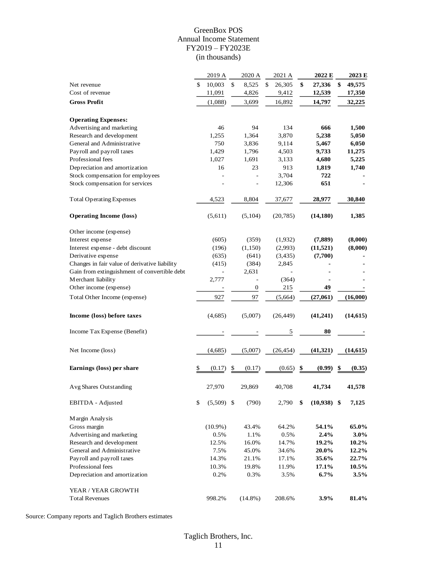#### GreenBox POS Annual Income Statement FY2019 – FY2023E (in thousands)

|                                               | 2019 A             | 2020 A                   | 2021 A       | 2022 E              | 2023 E       |
|-----------------------------------------------|--------------------|--------------------------|--------------|---------------------|--------------|
| Net revenue                                   | \$<br>10,003       | \$<br>8,525              | \$<br>26,305 | \$<br>27,336        | \$<br>49,575 |
| Cost of revenue                               | 11,091             | 4,826                    | 9,412        | 12,539              | 17,350       |
| <b>Gross Profit</b>                           | (1,088)            | 3,699                    | 16,892       | 14,797              | 32,225       |
|                                               |                    |                          |              |                     |              |
| <b>Operating Expenses:</b>                    |                    |                          |              |                     |              |
| Advertising and marketing                     | 46                 | 94                       | 134          | 666                 | 1,500        |
| Research and development                      | 1,255              | 1,364                    | 3,870        | 5,238               | 5,050        |
| General and Administrative                    | 750                | 3,836                    | 9,114        | 5,467               | 6,050        |
| Payroll and payroll taxes                     | 1,429              | 1,796                    | 4,503        | 9,733               | 11,275       |
| Professional fees                             | 1,027              | 1,691                    | 3,133        | 4,680               | 5,225        |
| Depreciation and amortization                 | 16                 | 23                       | 913          | 1,819               | 1,740        |
| Stock compensation for employees              |                    | $\bar{a}$                | 3,704        | 722                 |              |
| Stock compensation for services               |                    | $\overline{\phantom{m}}$ | 12,306       | 651                 |              |
|                                               |                    |                          |              |                     |              |
| <b>Total Operating Expenses</b>               | 4,523              | 8,804                    | 37,677       | 28,977              | 30,840       |
| <b>Operating Income (loss)</b>                | (5,611)            | (5,104)                  | (20, 785)    | (14, 180)           | 1,385        |
| Other income (expense)                        |                    |                          |              |                     |              |
| Interest expense                              | (605)              | (359)                    | (1,932)      | (7,889)             | (8,000)      |
| Interest expense - debt discount              | (196)              | (1,150)                  | (2,993)      | (11, 521)           | (8,000)      |
| Derivative expense                            | (635)              | (641)                    | (3, 435)     | (7,700)             |              |
| Changes in fair value of derivative liability | (415)              | (384)                    | 2,845        |                     |              |
| Gain from extinguishment of convertible debt  |                    | 2,631                    |              |                     |              |
| Merchant liability                            | 2,777              | $\blacksquare$           | (364)        |                     |              |
| Other income (expense)                        |                    | $\boldsymbol{0}$         | 215          | 49                  |              |
| Total Other Income (expense)                  | 927                | 97                       | (5,664)      | (27,061)            | (16,000)     |
| Income (loss) before taxes                    | (4,685)            | (5,007)                  | (26, 449)    | (41,241)            | (14, 615)    |
| Income Tax Expense (Benefit)                  |                    |                          | 5            | 80                  |              |
| Net Income (loss)                             | (4,685)            | (5,007)                  | (26, 454)    | (41, 321)           | (14,615)     |
| Earnings (loss) per share                     | \$<br>(0.17)       | \$<br>(0.17)             | (0.65)       | \$<br>(0.99)        | \$<br>(0.35) |
|                                               |                    |                          |              |                     |              |
| Avg Shares Outstanding                        | 27,970             | 29,869                   | 40,708       | 41,734              | 41,578       |
| EBITDA - Adjusted                             | \$<br>$(5,509)$ \$ | (790)                    | 2,790        | \$<br>$(10,938)$ \$ | 7,125        |
| Margin Analysis                               |                    |                          |              |                     |              |
| Gross margin                                  | $(10.9\%)$         | 43.4%                    | 64.2%        | 54.1%               | 65.0%        |
| Advertising and marketing                     | 0.5%               | 1.1%                     | 0.5%         | 2.4%                | 3.0%         |
| Research and development                      | 12.5%              | 16.0%                    | 14.7%        | 19.2%               | 10.2%        |
| General and Administrative                    | 7.5%               | 45.0%                    | 34.6%        | 20.0%               | 12.2%        |
| Payroll and payroll taxes                     | 14.3%              | 21.1%                    | 17.1%        | 35.6%               | 22.7%        |
| Professional fees                             | 10.3%              | 19.8%                    | 11.9%        | 17.1%               | 10.5%        |
| Depreciation and amortization                 | 0.2%               | 0.3%                     | 3.5%         | $6.7\%$             | 3.5%         |
| YEAR / YEAR GROWTH                            |                    |                          |              |                     |              |
| <b>Total Revenues</b>                         | 998.2%             | $(14.8\%)$               | 208.6%       | 3.9%                | 81.4%        |
|                                               |                    |                          |              |                     |              |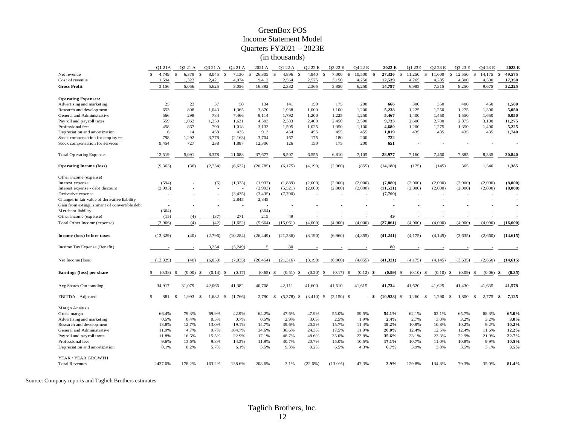#### GreenBox POS Income Statement Model Quarters FY2021 – 2023E (in thousands)

|                                               |               | O1 21A    |              | O <sub>2</sub> 21 A |              | 03 21 A | Q4 21 A                     |   | 2021 A    |              | O1 22 A      |    | O <sub>2</sub> 2 <sub>2</sub> E |               | O3 22 E      |               | O4 22 E  |              | 2022 E    | O1 23E                  |        |    | O <sub>2</sub> 23 E |              | O3 23 E              |               | O <sub>4</sub> 23 E |     | 2023 E    |
|-----------------------------------------------|---------------|-----------|--------------|---------------------|--------------|---------|-----------------------------|---|-----------|--------------|--------------|----|---------------------------------|---------------|--------------|---------------|----------|--------------|-----------|-------------------------|--------|----|---------------------|--------------|----------------------|---------------|---------------------|-----|-----------|
| Net revenue                                   | $\mathcal{S}$ | 4.749     | $\mathbf{s}$ | 6.379               | $\mathbb{S}$ | 8.045   | $\mathbf{\hat{s}}$<br>7.130 | S | 26,305    | $\mathbb{S}$ | 4.896        | -S | 4.940                           | $\mathcal{S}$ | 7.000        | $\mathcal{S}$ | 10,500   | $\mathbf{s}$ | 27.336    | 11,250<br><sup>\$</sup> |        | -S | 11.600              | $\mathbb{S}$ | 12,550               | $\mathcal{S}$ | 14.175              | \$  | 49,575    |
| Cost of revenue                               |               | 1,594     |              | 1,323               |              | 2,421   | 4,074                       |   | 9,412     |              | 2,564        |    | 2,575                           |               | 3,150        |               | 4,250    |              | 12,539    | 4,265                   |        |    | 4,285               |              | 4,300                |               | 4,500               |     | 17,350    |
| <b>Gross Profit</b>                           |               | 3,156     |              | 5,056               |              | 5,625   | 3,056                       |   | 16,892    |              | 2,332        |    | 2,365                           |               | 3,850        |               | 6,250    |              | 14,797    | 6,985                   |        |    | 7,315               |              | 8,250                |               | 9,675               |     | 32,225    |
|                                               |               |           |              |                     |              |         |                             |   |           |              |              |    |                                 |               |              |               |          |              |           |                         |        |    |                     |              |                      |               |                     |     |           |
| <b>Operating Expenses:</b>                    |               |           |              |                     |              |         |                             |   |           |              |              |    |                                 |               |              |               |          |              |           |                         |        |    |                     |              |                      |               |                     |     |           |
| Advertising and marketing                     |               | 25        |              | 23                  |              | 37      | 50                          |   | 134       |              | 141          |    | 150                             |               | 175          |               | 200      |              | 666       |                         | 300    |    | 350                 |              | 400                  |               | 450                 |     | 1,500     |
| Research and development                      |               | 653       |              | 808                 |              | 1.043   | 1,365                       |   | 3,870     |              | 1,938        |    | 1,000                           |               | 1,100        |               | 1,200    |              | 5,238     | 1,225                   |        |    | 1,250               |              | 1,275                |               | 1,300               |     | 5,050     |
| General and Administrative                    |               | 566       |              | 298                 |              | 784     | 7,466                       |   | 9,114     |              | 1,792        |    | 1,200                           |               | 1,225        |               | 1,250    |              | 5,467     | 1,400                   |        |    | 1,450               |              | 1,550                |               | 1,650               |     | 6,050     |
| Payroll and payroll taxes                     |               | 559       |              | 1.062               |              | 1,250   | 1,631                       |   | 4,503     |              | 2,383        |    | 2,400                           |               | 2,450        |               | 2,500    |              | 9,733     | 2,600                   |        |    | 2,700               |              | 2,875                |               | 3,100               |     | 11,275    |
| Professional fees                             |               | 458       |              | 867                 |              | 790     | 1,018                       |   | 3,133     |              | 1,505        |    | 1,025                           |               | 1,050        |               | 1,100    |              | 4,680     | 1,200                   |        |    | 1,275               |              | 1,350                |               | 1,400               |     | 5,225     |
| Depreciation and amortization                 |               | 6         |              | 14                  |              | 458     | 435                         |   | 913       |              | 454          |    | 455                             |               | 455          |               | 455      |              | 1,819     |                         | 435    |    | 435                 |              | 435                  |               | 435                 |     | 1,740     |
| Stock compensation for employees              |               | 798       |              | 1.292               |              | 3,778   | (2,163)                     |   | 3,704     |              | 167          |    | 175                             |               | 180          |               | 200      |              | 722       |                         |        |    |                     |              |                      |               |                     |     |           |
| Stock compensation for services               |               | 9.454     |              | 727                 |              | 238     | 1,887                       |   | 12,306    |              | 126          |    | 150                             |               | 175          |               | 200      |              | 651       |                         |        |    |                     |              | $\ddot{\phantom{1}}$ |               | ÷.                  |     |           |
|                                               |               |           |              |                     |              |         |                             |   |           |              |              |    |                                 |               |              |               |          |              |           |                         |        |    |                     |              |                      |               |                     |     |           |
| <b>Total Operating Expenses</b>               |               | 12,519    |              | 5,091               |              | 8,378   | 11,688                      |   | 37,677    |              | 8,507        |    | 6,555                           |               | 6,810        |               | 7,105    |              | 28,977    | 7,160                   |        |    | 7,460               |              | 7,885                |               | 8,335               |     | 30,840    |
| <b>Operating Income (loss)</b>                |               | (9, 363)  |              | (36)                |              | (2,754) | (8,632)                     |   | (20, 785) |              | (6,175)      |    | (4,190)                         |               | (2,960)      |               | (855)    |              | (14, 180) |                         | (175)  |    | (145)               |              | 365                  |               | 1,340               |     | 1,385     |
|                                               |               |           |              |                     |              |         |                             |   |           |              |              |    |                                 |               |              |               |          |              |           |                         |        |    |                     |              |                      |               |                     |     |           |
| Other income (expense)                        |               |           |              |                     |              |         |                             |   |           |              |              |    |                                 |               |              |               |          |              |           |                         |        |    |                     |              |                      |               |                     |     |           |
| Interest expense                              |               | (594)     |              |                     |              | (5)     | (1, 333)                    |   | (1,932)   |              | (1,889)      |    | (2,000)                         |               | (2,000)      |               | (2,000)  |              | (7, 889)  | (2,000)                 |        |    | (2,000)             |              | (2,000)              |               | (2,000)             |     | (8,000)   |
| Interest expense - debt discount              |               | (2,993)   |              |                     |              |         |                             |   | (2,993)   |              | (5,521)      |    | (2,000)                         |               | (2,000)      |               | (2,000)  |              | (11, 521) | (2,000)                 |        |    | (2,000)             |              | (2,000)              |               | (2,000)             |     | (8,000)   |
| Derivative expense                            |               |           |              |                     |              |         | (3, 435)                    |   | (3, 435)  |              | (7,700)      |    |                                 |               |              |               |          |              | (7,700)   |                         |        |    |                     |              |                      |               |                     |     |           |
| Changes in fair value of derivative liability |               |           |              |                     |              |         | 2,845                       |   | 2,845     |              |              |    |                                 |               |              |               |          |              |           |                         |        |    |                     |              |                      |               |                     |     |           |
| Gain from extinguishment of convertible debt  |               |           |              |                     |              |         |                             |   |           |              |              |    |                                 |               |              |               |          |              |           |                         |        |    |                     |              |                      |               |                     |     |           |
| Merchant liability                            |               | (364)     |              |                     |              |         |                             |   | (364)     |              |              |    |                                 |               |              |               |          |              |           |                         |        |    |                     |              |                      |               |                     |     |           |
| Other income (expense)                        |               | (15)      |              | (4)                 |              | (37)    | 271                         |   | 215       |              | 49           |    |                                 |               |              |               |          |              | 49        |                         |        |    |                     |              |                      |               |                     |     |           |
| Total Other Income (expense)                  |               | (3,966)   |              | (4)                 |              | (42)    | (1,652)                     |   | (5,664)   |              | (15,061)     |    | (4,000)                         |               | (4,000)      |               | (4,000)  |              | (27,061)  | (4,000)                 |        |    | (4,000)             |              | (4,000)              |               | (4,000)             |     | (16,000)  |
|                                               |               |           |              |                     |              |         |                             |   |           |              |              |    |                                 |               |              |               |          |              |           |                         |        |    |                     |              |                      |               |                     |     |           |
| Income (loss) before taxes                    |               | (13, 329) |              | (40)                |              | (2,796) | (10, 284)                   |   | (26, 449) |              | (21, 236)    |    | (8,190)                         |               | (6,960)      |               | (4, 855) |              | (41, 241) | (4, 175)                |        |    | (4,145)             |              | (3,635)              |               | (2,660)             |     | (14, 615) |
|                                               |               |           |              |                     |              |         |                             |   |           |              |              |    |                                 |               |              |               |          |              |           |                         |        |    |                     |              |                      |               |                     |     |           |
| Income Tax Expense (Benefit)                  |               |           |              |                     |              | 3,254   | (3,249)                     |   |           |              | 80           |    |                                 |               |              |               |          |              | 80        |                         |        |    |                     |              |                      |               |                     |     |           |
|                                               |               |           |              |                     |              |         |                             |   |           |              |              |    |                                 |               |              |               |          |              |           |                         |        |    |                     |              |                      |               |                     |     |           |
|                                               |               |           |              |                     |              |         |                             |   |           |              |              |    |                                 |               |              |               |          |              |           |                         |        |    |                     |              |                      |               |                     |     |           |
| Net Income (loss)                             |               | (13, 329) |              | (40)                |              | (6,050) | (7,035)                     |   | (26, 454) |              | (21, 316)    |    | (8,190)                         |               | (6,960)      |               | (4, 855) |              | (41, 321) | (4,175)                 |        |    | (4,145)             |              | (3,635)              |               | (2,660)             |     | (14, 615) |
|                                               |               |           |              |                     |              |         |                             |   |           |              |              |    |                                 |               |              |               |          |              |           |                         |        |    |                     |              |                      |               |                     |     |           |
| Earnings (loss) per share                     |               | (0.38)    |              | (0.00)              |              | (0.14)  | -\$<br>(0.17)               |   | (0.65)    | -S           | (0.51)       |    | (0.20)                          | S.            | (0.17)       | £.            | (0.12)   |              | (0.99)    |                         | (0.10) |    | (0.10)              |              | (0.09)               |               | (0.06)              |     | (0.35)    |
|                                               |               |           |              |                     |              |         |                             |   |           |              |              |    |                                 |               |              |               |          |              |           |                         |        |    |                     |              |                      |               |                     |     |           |
| Avg Shares Outstanding                        |               | 34,917    |              | 31,079              |              | 42,066  | 41,382                      |   | 40,708    |              | 42,111       |    | 41,600                          |               | 41,610       |               | 41,615   |              | 41,734    | 41,620                  |        |    | 41,625              |              | 41,430               |               | 41,635              |     | 41,578    |
|                                               | S.            |           |              |                     |              |         |                             |   |           |              |              |    |                                 |               |              |               |          | - \$         | (10,938)  | <sup>\$</sup>           |        |    |                     |              |                      |               |                     |     |           |
| EBITDA - Adjusted                             |               | 881       | -\$          | 1,993               | -\$          | 1,682   | \$<br>(1,766)               |   | 2,790     | \$           | $(5,378)$ \$ |    | $(3,410)$ \$                    |               | $(2,150)$ \$ |               |          |              |           | 1,260                   |        | -S | 1,290               | S.           | 1,800                | -\$           | 2,775               | -\$ | 7,125     |
| Margin Analysis                               |               |           |              |                     |              |         |                             |   |           |              |              |    |                                 |               |              |               |          |              |           |                         |        |    |                     |              |                      |               |                     |     |           |
| Gross margin                                  |               | 66.4%     |              | 79.3%               |              | 69.9%   | 42.9%                       |   | 64.2%     |              | 47.6%        |    | 47.9%                           |               | 55.0%        |               | 59.5%    |              | 54.1%     |                         | 62.1%  |    | 63.1%               |              | 65.7%                |               | 68.3%               |     | 65.0%     |
| Advertising and marketing                     |               | 0.5%      |              | 0.4%                |              | 0.5%    | 0.7%                        |   | 0.5%      |              | 2.9%         |    | 3.0%                            |               | 2.5%         |               | 1.9%     |              | 2.4%      |                         | 2.7%   |    | 3.0%                |              | 3.2%                 |               | 3.2%                |     | 3.0%      |
|                                               |               | 13.8%     |              | 12.7%               |              | 13.0%   | 19.1%                       |   | 14.7%     |              | 39.6%        |    | 20.2%                           |               | 15.7%        |               | 11.4%    |              | 19.2%     |                         | 10.9%  |    | 10.8%               |              | 10.2%                |               | 9.2%                |     | 10.2%     |
| Research and development                      |               |           |              |                     |              |         |                             |   |           |              |              |    |                                 |               |              |               |          |              |           |                         |        |    |                     |              |                      |               |                     |     |           |
| General and Administrative                    |               | 11.9%     |              | 4.7%                |              | 9.7%    | 104.7%                      |   | 34.6%     |              | 36.6%        |    | 24.3%                           |               | 17.5%        |               | 11.9%    |              | 20.0%     |                         | 12.4%  |    | 12.5%               |              | 12.4%                |               | 11.6%               |     | 12.2%     |
| Payroll and payroll taxes                     |               | 11.8%     |              | 16.6%               |              | 15.5%   | 22.9%                       |   | 17.1%     |              | 48.7%        |    | 48.6%                           |               | 35.0%        |               | 23.8%    |              | 35.6%     | 23.1%                   |        |    | 23.3%               |              | 22.9%                |               | 21.9%               |     | 22.7%     |
| Professional fees                             |               | 9.6%      |              | 13.6%               |              | 9.8%    | 14.3%                       |   | 11.9%     |              | 30.7%        |    | 20.7%                           |               | 15.0%        |               | 10.5%    |              | 17.1%     |                         | 10.7%  |    | 11.0%               |              | 10.8%                |               | 9.9%                |     | 10.5%     |
| Depreciation and amortization                 |               | 0.1%      |              | 0.2%                |              | 5.7%    | 6.1%                        |   | 3.5%      |              | 9.3%         |    | 9.2%                            |               | 6.5%         |               | 4.3%     |              | 6.7%      |                         | 3.9%   |    | 3.8%                |              | 3.5%                 |               | 3.1%                |     | 3.5%      |
| YEAR / YEAR GROWTH                            |               |           |              |                     |              |         |                             |   |           |              |              |    |                                 |               |              |               |          |              |           |                         |        |    |                     |              |                      |               |                     |     |           |
| <b>Total Revenues</b>                         |               | 2437.0%   |              | 178.2%              |              | 163.2%  |                             |   | 208.6%    |              | 3.1%         |    | (22.6%)                         |               | $(13.0\%)$   |               | 47.3%    |              | 3.9%      | 129.8%                  |        |    | 134.8%              |              | 79.3%                |               | 35.0%               |     | 81.4%     |
|                                               |               |           |              |                     |              |         | 138.6%                      |   |           |              |              |    |                                 |               |              |               |          |              |           |                         |        |    |                     |              |                      |               |                     |     |           |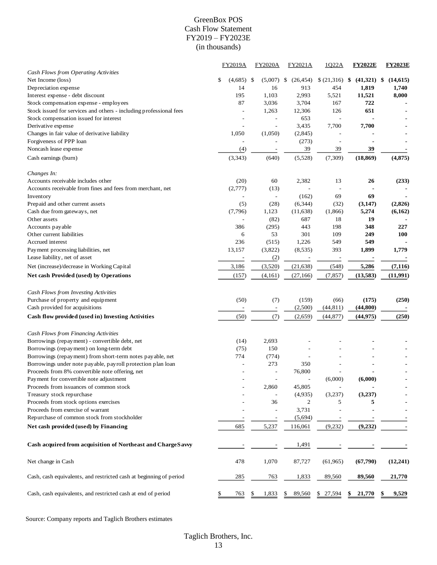#### GreenBox POS Cash Flow Statement FY2019 – FY2023E (in thousands)

|                                                                    | <b>FY2019A</b>           | <b>FY2020A</b>           | FY2021A         | 1022A                    | <b>FY2022E</b> | <b>FY2023E</b>  |
|--------------------------------------------------------------------|--------------------------|--------------------------|-----------------|--------------------------|----------------|-----------------|
| Cash Flows from Operating Activities                               |                          |                          |                 |                          |                |                 |
| Net Income (loss)                                                  | \$<br>(4,685)            | -\$<br>(5,007)           | \$<br>(26, 454) | \$(21,316)               | (41,321)<br>\$ | \$<br>(14, 615) |
| Depreciation expense                                               | 14                       | 16                       | 913             | 454                      | 1,819          | 1,740           |
| Interest expense - debt discount                                   | 195                      | 1,103                    | 2,993           | 5,521                    | 11,521         | 8,000           |
| Stock compensation expense - employees                             | 87                       | 3,036                    | 3,704           | 167                      | 722            |                 |
| Stock issued for services and others - including professional fees |                          | 1,263                    | 12,306          | 126                      | 651            |                 |
| Stock compensation issued for interest                             |                          |                          | 653             | $\overline{a}$           |                |                 |
| Derivative expense                                                 |                          |                          | 3,435           | 7,700                    | 7,700          |                 |
| Changes in fair value of derivative liability                      | 1,050                    | (1,050)                  | (2,845)         |                          |                |                 |
| Forgiveness of PPP loan                                            | $\overline{\phantom{a}}$ | $\overline{a}$           | (273)           | $\overline{a}$           |                |                 |
| Noncash lease expense                                              | (4)                      |                          | 39              | 39                       | 39             |                 |
| Cash earnings (burn)                                               | (3, 343)                 | (640)                    | (5,528)         | (7, 309)                 | (18, 869)      | (4, 875)        |
|                                                                    |                          |                          |                 |                          |                |                 |
| Changes In:                                                        |                          |                          |                 |                          |                |                 |
| Accounts receivable includes other                                 | (20)                     | 60                       | 2,382           | 13                       | 26             | (233)           |
| Accounts receivable from fines and fees from merchant, net         | (2,777)                  | (13)                     |                 | $\overline{a}$           |                |                 |
| Inventory                                                          |                          | $\overline{\phantom{a}}$ | (162)           | 69                       | 69             |                 |
| Prepaid and other current assets                                   | (5)                      | (28)                     | (6, 344)        | (32)                     | (3,147)        | (2,826)         |
| Cash due from gateways, net                                        | (7,796)                  | 1,123                    | (11, 638)       | (1,866)                  | 5,274          | (6,162)         |
| Other assets                                                       |                          | (82)                     | 687             | 18                       | 19             |                 |
| Accounts payable                                                   | 386                      | (295)                    | 443             | 198                      | 348            | 227             |
| Other current liabilities                                          | 6                        | 53                       | 301             | 109                      | 249            | 100             |
| Accrued interest                                                   | 236                      | (515)                    | 1,226           | 549                      | 549            |                 |
| Payment processing liabilities, net                                | 13,157                   | (3,822)                  | (8,535)         | 393                      | 1,899          | 1,779           |
| Lease liability, net of asset                                      |                          | (2)                      |                 | $\overline{\phantom{a}}$ |                |                 |
| Net (increase)/decrease in Working Capital                         |                          |                          |                 |                          |                |                 |
|                                                                    | 3,186                    | (3,520)                  | (21, 638)       | (548)                    | 5,286          | (7, 116)        |
| <b>Net cash Provided (used) by Operations</b>                      | (157)                    | (4,161)                  | (27, 166)       | (7, 857)                 | (13,583)       | (11,991)        |
| Cash Flows from Investing Activities                               |                          |                          |                 |                          |                |                 |
| Purchase of property and equipment                                 | (50)                     | (7)                      | (159)           | (66)                     | (175)          | (250)           |
| Cash provided for acquisitions                                     |                          |                          | (2,500)         | (44, 811)                | (44,800)       |                 |
|                                                                    |                          | $\overline{\phantom{a}}$ |                 |                          |                |                 |
| Cash flow provided (used in) Investing Activities                  | (50)                     | (7)                      | (2,659)         | (44, 877)                | (44, 975)      | (250)           |
| Cash Flows from Financing Activities                               |                          |                          |                 |                          |                |                 |
| Borrowings (repayment) - convertible debt, net                     | (14)                     | 2,693                    |                 |                          |                |                 |
| Borrowings (repayment) on long-term debt                           | (75)                     | 150                      |                 |                          |                |                 |
| Borrowings (repayment) from short-term notes payable, net          | 774                      | (774)                    |                 |                          |                |                 |
| Borrowings under note payable, payroll protection plan loan        |                          | 273                      | 350             |                          |                |                 |
| Proceeds from 8% convertible note offering, net                    |                          |                          | 76,800          |                          |                |                 |
| Payment for convertible note adjustment                            |                          | $\overline{\phantom{a}}$ |                 | (6,000)                  | (6,000)        |                 |
| Proceeds from issuances of common stock                            |                          | 2,860                    | 45,805          | $\overline{a}$           |                |                 |
| Treasury stock repurchase                                          |                          |                          | (4,935)         | (3,237)                  | (3,237)        |                 |
| Proceeds from stock options exercises                              |                          | 36                       | 2               | 5                        | 5              |                 |
|                                                                    |                          |                          |                 |                          |                |                 |
| Proceeds from exercise of warrant                                  |                          |                          | 3,731           |                          |                |                 |
| Repurchase of common stock from stockholder                        |                          |                          | (5,694)         |                          |                |                 |
| Net cash provided (used) by Financing                              | 685                      | 5,237                    | 116,061         | (9, 232)                 | (9, 232)       |                 |
| Cash acquired from acquisition of Northeast and ChargeSavvy        |                          |                          | 1,491           |                          |                |                 |
|                                                                    | 478                      | 1,070                    | 87,727          | (61, 965)                | (67,790)       | (12,241)        |
| Net change in Cash                                                 |                          |                          |                 |                          |                |                 |
| Cash, cash equivalents, and restricted cash at beginning of period | 285                      | 763                      | 1,833           | 89,560                   | 89,560         | 21,770          |
| Cash, cash equivalents, and restricted cash at end of period       | 763                      | 1,833<br>\$              | 89,560<br>\$    | 27,594<br>\$             | 21,770<br>\$   | 9,529<br>\$     |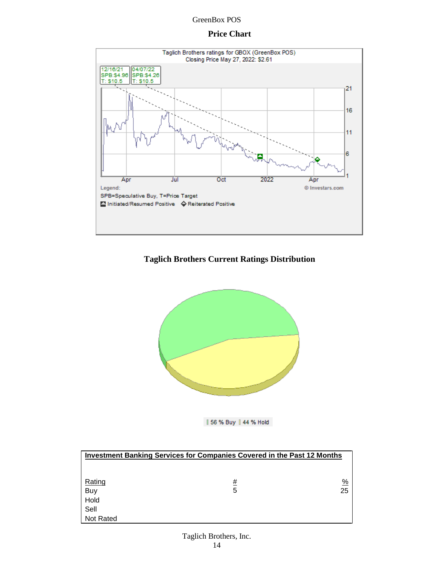### **Price Chart**



# **Taglich Brothers Current Ratings Distribution**



| 56 % Buy | 44 % Hold

| <b>Investment Banking Services for Companies Covered in the Past 12 Months</b> |          |               |  |  |  |  |
|--------------------------------------------------------------------------------|----------|---------------|--|--|--|--|
|                                                                                |          |               |  |  |  |  |
| Rating                                                                         | <u>#</u> | $\frac{9}{6}$ |  |  |  |  |
| Buy                                                                            | 5        | 25            |  |  |  |  |
| Hold                                                                           |          |               |  |  |  |  |
| Sell                                                                           |          |               |  |  |  |  |
| <b>Not Rated</b>                                                               |          |               |  |  |  |  |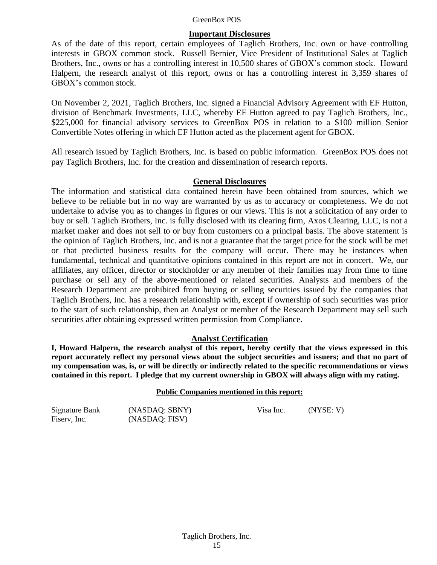#### **Important Disclosures**

As of the date of this report, certain employees of Taglich Brothers, Inc. own or have controlling interests in GBOX common stock. Russell Bernier, Vice President of Institutional Sales at Taglich Brothers, Inc., owns or has a controlling interest in 10,500 shares of GBOX's common stock. Howard Halpern, the research analyst of this report, owns or has a controlling interest in 3,359 shares of GBOX's common stock.

On November 2, 2021, Taglich Brothers, Inc. signed a Financial Advisory Agreement with EF Hutton, division of Benchmark Investments, LLC, whereby EF Hutton agreed to pay Taglich Brothers, Inc., \$225,000 for financial advisory services to GreenBox POS in relation to a \$100 million Senior Convertible Notes offering in which EF Hutton acted as the placement agent for GBOX.

All research issued by Taglich Brothers, Inc. is based on public information. GreenBox POS does not pay Taglich Brothers, Inc. for the creation and dissemination of research reports.

#### **General Disclosures**

The information and statistical data contained herein have been obtained from sources, which we believe to be reliable but in no way are warranted by us as to accuracy or completeness. We do not undertake to advise you as to changes in figures or our views. This is not a solicitation of any order to buy or sell. Taglich Brothers, Inc. is fully disclosed with its clearing firm, Axos Clearing, LLC, is not a market maker and does not sell to or buy from customers on a principal basis. The above statement is the opinion of Taglich Brothers, Inc. and is not a guarantee that the target price for the stock will be met or that predicted business results for the company will occur. There may be instances when fundamental, technical and quantitative opinions contained in this report are not in concert. We, our affiliates, any officer, director or stockholder or any member of their families may from time to time purchase or sell any of the above-mentioned or related securities. Analysts and members of the Research Department are prohibited from buying or selling securities issued by the companies that Taglich Brothers, Inc. has a research relationship with, except if ownership of such securities was prior to the start of such relationship, then an Analyst or member of the Research Department may sell such securities after obtaining expressed written permission from Compliance.

#### **Analyst Certification**

**I, Howard Halpern, the research analyst of this report, hereby certify that the views expressed in this report accurately reflect my personal views about the subject securities and issuers; and that no part of my compensation was, is, or will be directly or indirectly related to the specific recommendations or views contained in this report. I pledge that my current ownership in GBOX will always align with my rating.**

#### **Public Companies mentioned in this report:**

Signature Bank (NASDAQ: SBNY) Visa Inc. (NYSE: V) Fiserv, Inc. (NASDAQ: FISV)